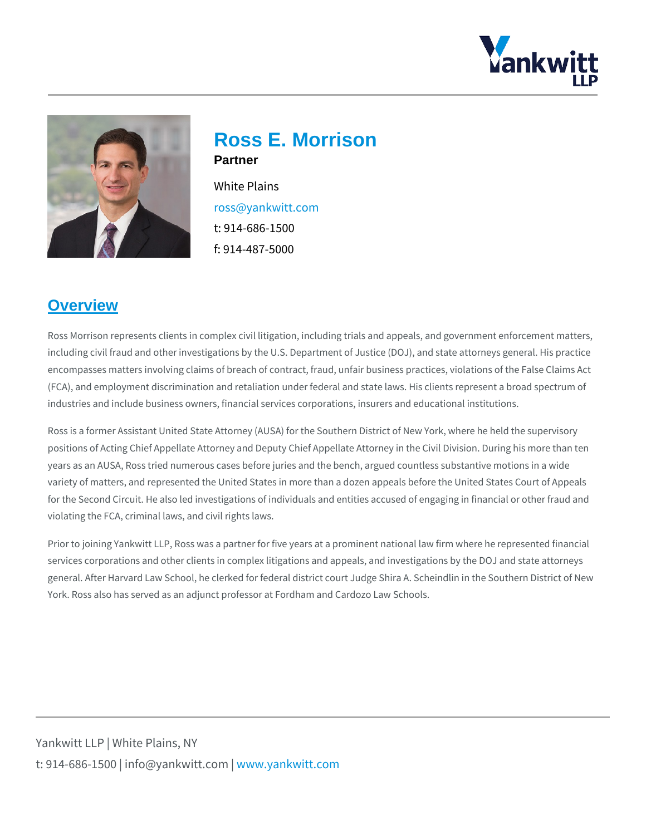Ross E. Morrison **Partner** White Plains [ross@yankw](mailto:ross@yankwitt.com)itt.com t: 914-686-1500 f: 914-487-5000

#### **Overview**

Ross Morrison represents clients in complex civil litigation, including trials and including civil fraud and other investigations by the U.S. Department of Justice ( encompasses matters involving claims of breach of contract, fraud, unfair busine (FCA), and employment discrimination and retaliation under federal and state lav industries and include business owners, financial services corporations, insurers

Ross is a former Assistant United State Attorney (AUSA) for the Southern Distric positions of Acting Chief Appellate Attorney and Deputy Chief Appellate Attorney years as an AUSA, Ross tried numerous cases before juries and the bench, argue variety of matters, and represented the United States in more than a dozen appe for the Second Circuit. He also led investigations of individuals and entities acc violating the FCA, criminal laws, and civil rights laws.

Prior to joining Yankwitt LLP, Ross was a partner for five years at a prominent n services corporations and other clients in complex litigations and appeals, and i general. After Harvard Law School, he clerked for federal district court Judge Sh York. Ross also has served as an adjunct professor at Fordham and Cardozo Law

Yankwitt LLP | White Plains, NY t:  $914 - 686 - 1500$  | info@y wawn ky wom intit wo interport on